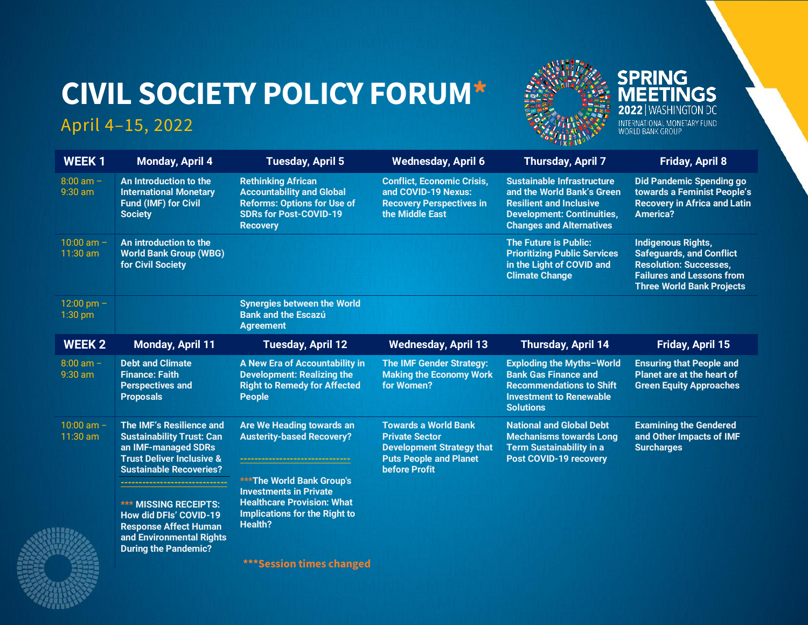# **CIVIL SOCIETY POLICY FORUM\***

# April 4–15, 2022



**WEEK 1 Monday, April 4 Tuesday, April 5 Wednesday, April 6 Thursday, April 7 Friday, April 8** 8:00 am – 9:30 am **[An Introduction to the](#page-1-0)  [International Monetary](#page-1-0)  [Fund \(IMF\) for Civil](#page-1-0)  [Society](#page-1-0) [Rethinking African](#page-1-1)  [Accountability and Global](#page-1-1)  [Reforms: Options for Use of](#page-1-1)  [SDRs for Post-COVID-19](#page-1-1)  [Recovery](#page-1-1) [Conflict, Economic Crisis,](#page-2-0)  [and COVID-19 Nexus:](#page-2-0)  [Recovery Perspectives in](#page-2-0)  [the Middle East](#page-2-0) [Sustainable Infrastructure](#page-3-0)  [and the World Bank's Green](#page-3-0)  [Resilient and Inclusive](#page-3-0)  [Development: Continuities,](#page-3-0)  [Changes and Alternatives](#page-3-0) [Did Pandemic Spending go](#page-4-0)  towards a F[eminist People's](#page-4-0)  [Recovery in Africa and Latin](#page-4-0)  [America?](#page-4-0)**  $10:00$  am  $-$ 11:30 am **[An introduction to the](#page-1-2)  [World Bank Group \(WBG\)](#page-1-2)  [for Civil Society](#page-1-2) [The Future is Public:](#page-3-1)  [Prioritizing Public Services](#page-3-1)  [in the Light of COVID](#page-3-1) and [Climate Change](#page-3-1) [Indigenous Rights,](#page-4-1)  [Safeguards, and Conflict](#page-4-1)  [Resolution: Successes,](#page-4-1)  [Failures and Lessons from](#page-4-1)  [Three World Bank Projects](#page-4-1)**  $12:00$  pm  $-$ 1:30 pm **[Synergies between the World](#page-2-0)  [Bank and the Escazú](#page-2-0)  [Agreement](#page-2-0) WEEK 2 Monday, April 11 Tuesday, April 12 Wednesday, April 13 Thursday, April 14 Friday, April 15** 8:00 am – 9:30 am **[Debt and Climate](#page-5-0)  [Finance: Faith](#page-5-0)  [Perspectives and](#page-5-0)  [Proposals](#page-5-0) [A New Era of Accountability in](#page-6-0)  [Development: Realizing the](#page-6-0)  [Right to Remedy for Affected](#page-6-0)  [People](#page-6-0) [The IMF Gender Strategy:](#page-8-0)  [Making the Economy Work](#page-8-0)  [for Women?](#page-8-0) [Exploding the Myths](#page-9-0)–World [Bank Gas Finance and](#page-9-0)  [Recommendations to Shift](#page-9-0)  [Investment to Renewable](#page-9-0)  [Solutions](#page-9-0) [Ensuring that People and](#page-10-0)  [Planet are at the heart of](#page-10-0)  [Green Equity Approaches](#page-10-0)**  $10:00$  am  $-$ 11:30 am **[The IMF's Resilience and](#page-5-1)  [Sustainability Trust: Can](#page-5-1)  [an IMF-managed SDRs](#page-5-1)  [Trust Deliver Inclusive &](#page-5-1)  [Sustainable Recoveries?](#page-5-1) ------------------------------ \*\*\* [MISSING RECEIPTS:](#page-6-1)  [How did DFIs' COVID](#page-6-1)-19 [Response Affect Human](#page-6-1)  [and Environmental Rights](#page-6-1)  During the [Pandemic?](#page-6-1) [Are We Heading towards an](#page-7-0)  [Austerity-based Recovery?](#page-7-0) ------------------------------- \*\*\*The World Bank Group's Investments in Private Healthcare Provision: What Implications for the Right to Health? [Towards a World Bank](#page-8-1)  [Private Sector](#page-8-1)  [Development Strategy that](#page-8-1)  [Puts People and Planet](#page-8-1)  [before Profit](#page-8-1) [National and Global Debt](#page-9-1)  [Mechanisms towards Long](#page-9-1)  [Term Sustainability in a](#page-9-1)  [Post COVID-19 recovery](#page-9-1) [Examining the Gendered](#page-10-1)  [and Other Impacts of IMF](#page-10-1)  [Surcharges](#page-10-1)**



**\*\*\*Session times changed**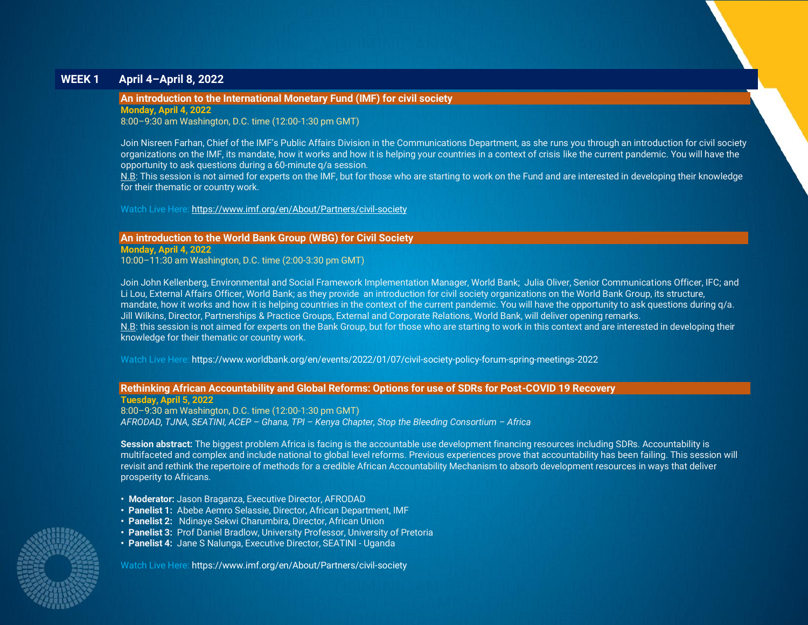# **WEEK 1 April 4–April 8, 2022**

# <span id="page-1-0"></span>**An introduction to the International Monetary Fund (IMF) for civil society**

**Monday, April 4, 2022**

8:00–9:30 am Washington, D.C. time (12:00-1:30 pm GMT)

Join Nisreen Farhan, Chief of the IMF's Public Affairs Division in the Communications Department, as she runs you through an introduction for civil society organizations on the IMF, its mandate, how it works and how it is helping your countries in a context of crisis like the current pandemic. You will have the opportunity to ask questions during a 60-minute q/a session.

N.B: This session is not aimed for experts on the IMF, but for those who are starting to work on the Fund and are interested in developing their knowledge for their thematic or country work.

Watch Live Here: <https://www.imf.org/en/About/Partners/civil-society>

<span id="page-1-2"></span>**An introduction to the World Bank Group (WBG) for Civil Society**

**Monday, April 4, 2022** 10:00–11:30 am Washington, D.C. time (2:00-3:30 pm GMT)

Join John Kellenberg, Environmental and Social Framework Implementation Manager, World Bank; Julia Oliver, Senior Communications Officer, IFC; and Li Lou, External Affairs Officer, World Bank; as they provide an introduction for civil society organizations on the World Bank Group, its structure, mandate, how it works and how it is helping countries in the context of the current pandemic. You will have the opportunity to ask questions during q/a. Jill Wilkins, Director, Partnerships & Practice Groups, External and Corporate Relations, World Bank, will deliver opening remarks. N.B: this session is not aimed for experts on the Bank Group, but for those who are starting to work in this context and are interested in developing their knowledge for their thematic or country work.

Watch Live Here: https://www.worldbank.org/en/events/2022/01/07/civil-society-policy-forum-spring-meetings-2022

#### <span id="page-1-1"></span>**Rethinking African Accountability and Global Reforms: Options for use of SDRs for Post-COVID 19 Recovery**

**Tuesday, April 5, 2022** 8:00–9:30 am Washington, D.C. time (12:00-1:30 pm GMT) *AFRODAD, TJNA, SEATINI, ACEP – Ghana, TPI – Kenya Chapter, Stop the Bleeding Consortium – Africa*

**Session abstract:** The biggest problem Africa is facing is the accountable use development financing resources including SDRs. Accountability is multifaceted and complex and include national to global level reforms. Previous experiences prove that accountability has been failing. This session will revisit and rethink the repertoire of methods for a credible African Accountability Mechanism to absorb development resources in ways that deliver prosperity to Africans.

- **• Moderator:** Jason Braganza, Executive Director, AFRODAD
- **Panelist 1:** Abebe Aemro Selassie, Director, African Department, IMF
- **Panelist 2:** Ndinaye Sekwi Charumbira, Director, African Union
- **Panelist 3:** Prof Daniel Bradlow, University Professor, University of Pretoria
- **Panelist 4:** Jane S Nalunga, Executive Director, SEATINI Uganda

Watch Live Here: https://www.imf.org/en/About/Partners/civil-society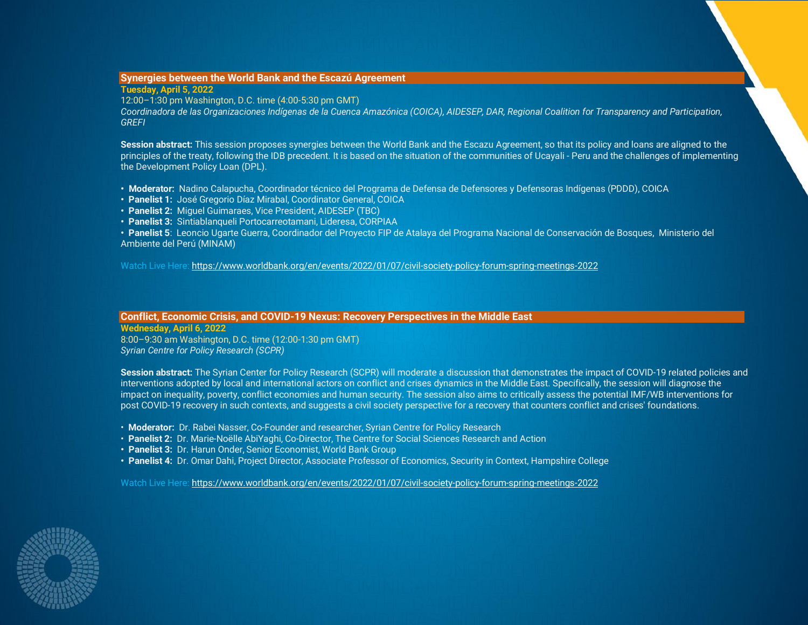# <span id="page-2-0"></span>**Synergies between the World Bank and the Escazú Agreement**

**Tuesday, April 5, 2022** 12:00–1:30 pm Washington, D.C. time (4:00-5:30 pm GMT) *Coordinadora de las Organizaciones Indígenas de la Cuenca Amazónica (COICA), AIDESEP, DAR, Regional Coalition for Transparency and Participation, GREFI*

**Session abstract:** This session proposes synergies between the World Bank and the Escazu Agreement, so that its policy and loans are aligned to the principles of the treaty, following the IDB precedent. It is based on the situation of the communities of Ucayali - Peru and the challenges of implementing the Development Policy Loan (DPL).

- **• Moderator:** Nadino Calapucha, Coordinador técnico del Programa de Defensa de Defensores y Defensoras Indígenas (PDDD), COICA
- **• Panelist 1:** José Gregorio Díaz Mirabal, Coordinator General, COICA
- **• Panelist 2:** Miguel Guimaraes, Vice President, AIDESEP (TBC)
- **• Panelist 3:** Sintiablanqueli Portocarreotamani, Lideresa, CORPIAA

**• Panelist 5**: Leoncio Ugarte Guerra, Coordinador del Proyecto FIP de Atalaya del Programa Nacional de Conservación de Bosques, Ministerio del Ambiente del Perú (MINAM)

Watch Live Here:<https://www.worldbank.org/en/events/2022/01/07/civil-society-policy-forum-spring-meetings-2022>

# **Conflict, Economic Crisis, and COVID-19 Nexus: Recovery Perspectives in the Middle East**

**Wednesday, April 6, 2022** 8:00–9:30 am Washington, D.C. time (12:00-1:30 pm GMT) *Syrian Centre for Policy Research (SCPR)*

**Session abstract:** The Syrian Center for Policy Research (SCPR) will moderate a discussion that demonstrates the impact of COVID-19 related policies and interventions adopted by local and international actors on conflict and crises dynamics in the Middle East. Specifically, the session will diagnose the impact on inequality, poverty, conflict economies and human security. The session also aims to critically assess the potential IMF/WB interventions for post COVID-19 recovery in such contexts, and suggests a civil society perspective for a recovery that counters conflict and crises' foundations.

- **Moderator:** Dr. Rabei Nasser, Co-Founder and researcher, Syrian Centre for Policy Research
- **Panelist 2:** Dr. Marie-Noëlle AbiYaghi, Co-Director, The Centre for Social Sciences Research and Action
- **• Panelist 3:** Dr. Harun Onder, Senior Economist, World Bank Group
- **• Panelist 4:** Dr. Omar Dahi, Project Director, Associate Professor of Economics, Security in Context, Hampshire College

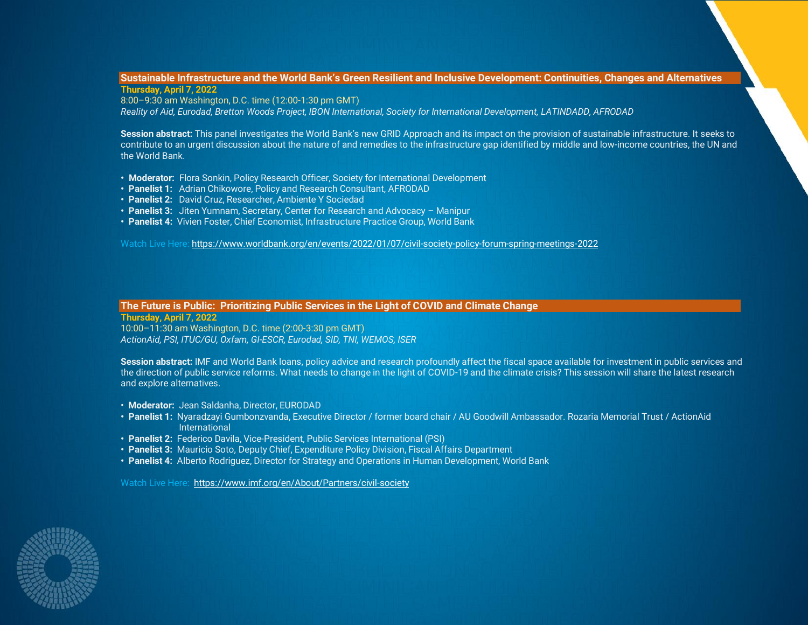#### <span id="page-3-0"></span>**Sustainable Infrastructure and the World Bank's Green Resilient and Inclusive Development: Continuities, Changes and Alternatives Thursday, April 7, 2022**

8:00–9:30 am Washington, D.C. time (12:00-1:30 pm GMT) *Reality of Aid, Eurodad, Bretton Woods Project, IBON International, Society for International Development, LATINDADD, AFRODAD*

**Session abstract:** This panel investigates the World Bank's new GRID Approach and its impact on the provision of sustainable infrastructure. It seeks to contribute to an urgent discussion about the nature of and remedies to the infrastructure gap identified by middle and low-income countries, the UN and the World Bank.

- **• Moderator:** Flora Sonkin, Policy Research Officer, Society for International Development
- **• Panelist 1:** Adrian Chikowore, Policy and Research Consultant, AFRODAD
- **• Panelist 2:** David Cruz, Researcher, Ambiente Y Sociedad
- **• Panelist 3:** Jiten Yumnam, Secretary, Center for Research and Advocacy Manipur
- **Panelist 4:** Vivien Foster, Chief Economist, Infrastructure Practice Group, World Bank

Watch Live Here:<https://www.worldbank.org/en/events/2022/01/07/civil-society-policy-forum-spring-meetings-2022>

# <span id="page-3-1"></span>**The Future is Public: Prioritizing Public Services in the Light of COVID and Climate Change**

**Thursday, April 7, 2022**

10:00–11:30 am Washington, D.C. time (2:00-3:30 pm GMT) *ActionAid, PSI, ITUC/GU, Oxfam, GI-ESCR, Eurodad, SID, TNI, WEMOS, ISER*

**Session abstract:** IMF and World Bank loans, policy advice and research profoundly affect the fiscal space available for investment in public services and the direction of public service reforms. What needs to change in the light of COVID-19 and the climate crisis? This session will share the latest research and explore alternatives.

- **Moderator:** Jean Saldanha, Director, EURODAD
- **• Panelist 1:** Nyaradzayi Gumbonzvanda, Executive Director / former board chair / AU Goodwill Ambassador. Rozaria Memorial Trust / ActionAid **International**
- **• Panelist 2:** Federico Davila, Vice-President, Public Services International (PSI)
- **• Panelist 3:** Mauricio Soto, Deputy Chief, Expenditure Policy Division, Fiscal Affairs Department
- **Panelist 4:** Alberto Rodriguez, Director for Strategy and Operations in Human Development, World Bank

Watch Live Here:<https://www.imf.org/en/About/Partners/civil-society>

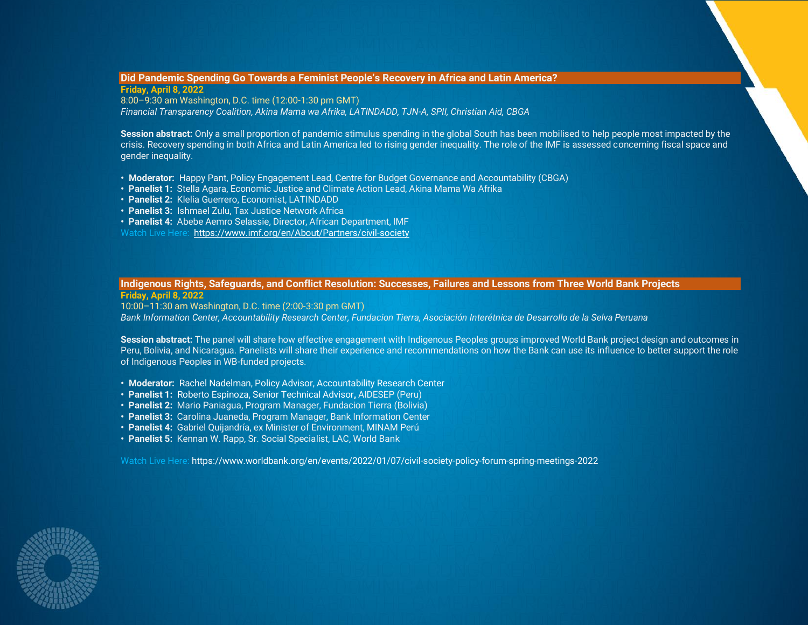# <span id="page-4-0"></span>**Did Pandemic Spending Go Towards a Feminist People's Recovery in Africa and Latin America?**

**Friday, April 8, 2022** 8:00–9:30 am Washington, D.C. time (12:00-1:30 pm GMT) *Financial Transparency Coalition, Akina Mama wa Afrika, LATINDADD, TJN-A, SPII, Christian Aid, CBGA*

**Session abstract:** Only a small proportion of pandemic stimulus spending in the global South has been mobilised to help people most impacted by the crisis. Recovery spending in both Africa and Latin America led to rising gender inequality. The role of the IMF is assessed concerning fiscal space and gender inequality.

- **• Moderator:** Happy Pant, Policy Engagement Lead, Centre for Budget Governance and Accountability (CBGA)
- **• Panelist 1:** Stella Agara, Economic Justice and Climate Action Lead, Akina Mama Wa Afrika
- **• Panelist 2:** Klelia Guerrero, Economist, LATINDADD
- **• Panelist 3:** Ishmael Zulu, Tax Justice Network Africa
- **• Panelist 4:** Abebe Aemro Selassie, Director, African Department, IMF

Watch Live Here:<https://www.imf.org/en/About/Partners/civil-society>

# <span id="page-4-1"></span>**Indigenous Rights, Safeguards, and Conflict Resolution: Successes, Failures and Lessons from Three World Bank Projects**

**Friday, April 8, 2022**

10:00–11:30 am Washington, D.C. time (2:00-3:30 pm GMT) *Bank Information Center, Accountability Research Center, Fundacion Tierra, Asociación Interétnica de Desarrollo de la Selva Peruana*

**Session abstract:** The panel will share how effective engagement with Indigenous Peoples groups improved World Bank project design and outcomes in Peru, Bolivia, and Nicaragua. Panelists will share their experience and recommendations on how the Bank can use its influence to better support the role of Indigenous Peoples in WB-funded projects.

- **Moderator:** Rachel Nadelman, Policy Advisor, Accountability Research Center
- **Panelist 1:** Roberto Espinoza, Senior Technical Advisor**,** AIDESEP (Peru)
- **Panelist 2:** Mario Paniagua, Program Manager, Fundacion Tierra (Bolivia)
- **Panelist 3:** Carolina Juaneda, Program Manager, Bank Information Center
- **Panelist 4:** Gabriel Quijandría, ex Minister of Environment, MINAM Perú
- **Panelist 5:** Kennan W. Rapp, Sr. Social Specialist, LAC, World Bank

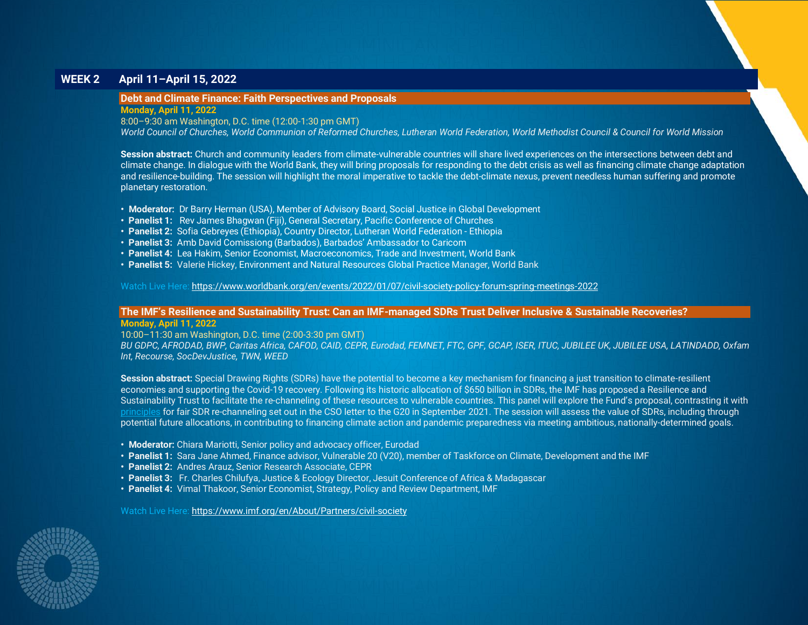# **WEEK 2 April 11–April 15, 2022**

# <span id="page-5-0"></span>**Debt and Climate Finance: Faith Perspectives and Proposals**

**Monday, April 11, 2022**

8:00–9:30 am Washington, D.C. time (12:00-1:30 pm GMT)

*World Council of Churches, World Communion of Reformed Churches, Lutheran World Federation, World Methodist Council & Council for World Mission*

**Session abstract:** Church and community leaders from climate-vulnerable countries will share lived experiences on the intersections between debt and climate change. In dialogue with the World Bank, they will bring proposals for responding to the debt crisis as well as financing climate change adaptation and resilience-building. The session will highlight the moral imperative to tackle the debt-climate nexus, prevent needless human suffering and promote planetary restoration.

- **Moderator:** Dr Barry Herman (USA), Member of Advisory Board, Social Justice in Global Development
- **Panelist 1:** Rev James Bhagwan (Fiji), General Secretary, Pacific Conference of Churches
- **Panelist 2:** Sofia Gebreyes (Ethiopia), Country Director, Lutheran World Federation Ethiopia
- **Panelist 3:** Amb David Comissiong (Barbados), Barbados' Ambassador to Caricom
- **Panelist 4:** Lea Hakim, Senior Economist, Macroeconomics, Trade and Investment, World Bank
- **Panelist 5:** Valerie Hickey, Environment and Natural Resources Global Practice Manager, World Bank

Watch Live Here:<https://www.worldbank.org/en/events/2022/01/07/civil-society-policy-forum-spring-meetings-2022>

# <span id="page-5-1"></span>**The IMF's Resilience and Sustainability Trust: Can an IMF-managed SDRs Trust Deliver Inclusive & Sustainable Recoveries?**

**Monday, April 11, 2022**

10:00–11:30 am Washington, D.C. time (2:00-3:30 pm GMT)

*BU GDPC, AFRODAD, BWP, Caritas Africa, CAFOD, CAID, CEPR, Eurodad, FEMNET, FTC, GPF, GCAP, ISER, ITUC, JUBILEE UK, JUBILEE USA, LATINDADD, Oxfam Int, Recourse, SocDevJustice, TWN, WEED*

**Session abstract:** Special Drawing Rights (SDRs) have the potential to become a key mechanism for financing a just transition to climate-resilient economies and supporting the Covid-19 recovery. Following its historic allocation of \$650 billion in SDRs, the IMF has proposed a Resilience and Sustainability Trust to facilitate the re-channeling of these resources to vulnerable countries. This panel will explore the Fund's proposal, contrasting it with [principles](https://medium.com/@OxfamIFIs/civil-society-organizations-call-for-principles-for-fair-channeling-of-special-drawing-rights-2f3795cdb14c) for fair SDR re-channeling set out in the CSO letter to the G20 in September 2021. The session will assess the value of SDRs, including through potential future allocations, in contributing to financing climate action and pandemic preparedness via meeting ambitious, nationally-determined goals.

- **Moderator:** Chiara Mariotti, Senior policy and advocacy officer, Eurodad
- **Panelist 1:** Sara Jane Ahmed, Finance advisor, Vulnerable 20 (V20), member of Taskforce on Climate, Development and the IMF
- **Panelist 2:** Andres Arauz, Senior Research Associate, CEPR
- **Panelist 3:** Fr. Charles Chilufya, Justice & Ecology Director, Jesuit Conference of Africa & Madagascar
- **Panelist 4:** Vimal Thakoor, Senior Economist, Strategy, Policy and Review Department, IMF

Watch Live Here: <https://www.imf.org/en/About/Partners/civil-society>

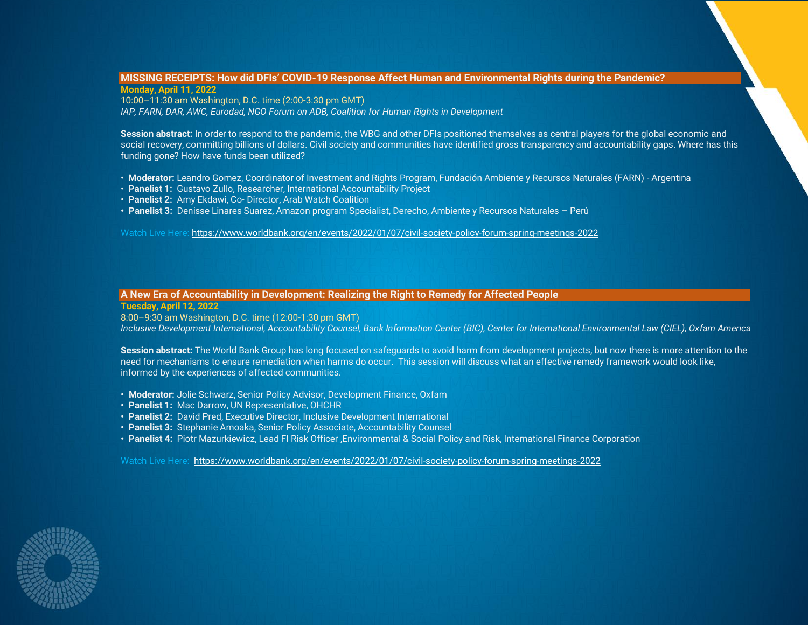#### <span id="page-6-1"></span>**MISSING RECEIPTS: How did DFIs' COVID-19 Response Affect Human and Environmental Rights during the Pandemic? Monday, April 11, 2022**

10:00–11:30 am Washington, D.C. time (2:00-3:30 pm GMT) *IAP, FARN, DAR, AWC, Eurodad, NGO Forum on ADB, Coalition for Human Rights in Development*

**Session abstract:** In order to respond to the pandemic, the WBG and other DFIs positioned themselves as central players for the global economic and social recovery, committing billions of dollars. Civil society and communities have identified gross transparency and accountability gaps. Where has this funding gone? How have funds been utilized?

- **Moderator:** Leandro Gomez, Coordinator of Investment and Rights Program, Fundación Ambiente y Recursos Naturales (FARN) Argentina
- **Panelist 1:** Gustavo Zullo, Researcher, International Accountability Project
- **Panelist 2:** Amy Ekdawi, Co- Director, Arab Watch Coalition
- **Panelist 3:** Denisse Linares Suarez, Amazon program Specialist, Derecho, Ambiente y Recursos Naturales Perú

Watch Live Here:<https://www.worldbank.org/en/events/2022/01/07/civil-society-policy-forum-spring-meetings-2022>

# <span id="page-6-0"></span>**A New Era of Accountability in Development: Realizing the Right to Remedy for Affected People**

**Tuesday, April 12, 2022**

8:00–9:30 am Washington, D.C. time (12:00-1:30 pm GMT)

*Inclusive Development International, Accountability Counsel, Bank Information Center (BIC), Center for International Environmental Law (CIEL), Oxfam America*

**Session abstract:** The World Bank Group has long focused on safeguards to avoid harm from development projects, but now there is more attention to the need for mechanisms to ensure remediation when harms do occur. This session will discuss what an effective remedy framework would look like, informed by the experiences of affected communities.

- **Moderator:** Jolie Schwarz, Senior Policy Advisor, Development Finance, Oxfam
- **Panelist 1:** Mac Darrow, UN Representative, OHCHR
- **Panelist 2:** David Pred, Executive Director, Inclusive Development International
- **Panelist 3:** Stephanie Amoaka, Senior Policy Associate, Accountability Counsel
- **Panelist 4:** Piotr Mazurkiewicz, Lead FI Risk Officer ,Environmental & Social Policy and Risk, International Finance Corporation

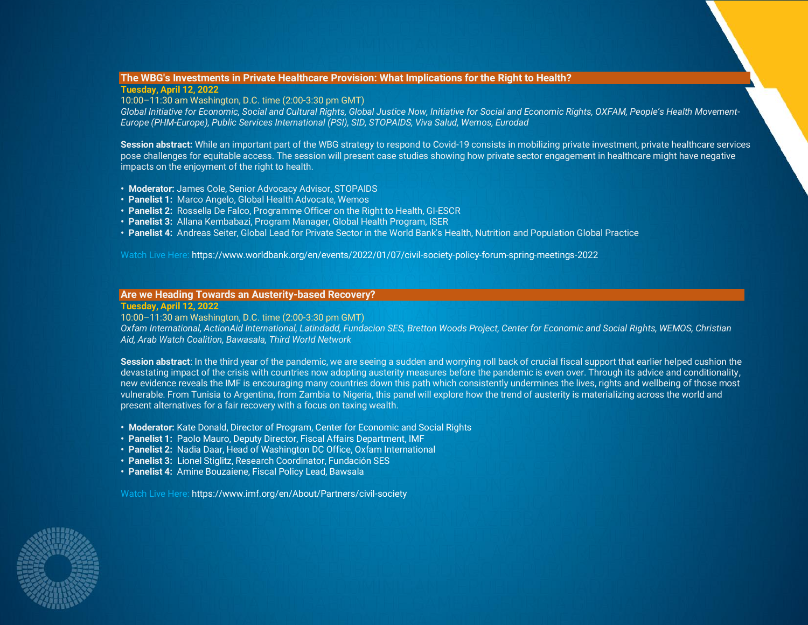# **The WBG's Investments in Private Healthcare Provision: What Implications for the Right to Health?**

**Tuesday, April 12, 2022**

10:00–11:30 am Washington, D.C. time (2:00-3:30 pm GMT)

*Global Initiative for Economic, Social and Cultural Rights, Global Justice Now, Initiative for Social and Economic Rights, OXFAM, People's Health Movement-Europe (PHM-Europe), Public Services International (PSI), SID, STOPAIDS, Viva Salud, Wemos, Eurodad*

**Session abstract:** While an important part of the WBG strategy to respond to Covid-19 consists in mobilizing private investment, private healthcare services pose challenges for equitable access. The session will present case studies showing how private sector engagement in healthcare might have negative impacts on the enjoyment of the right to health.

- **Moderator:** James Cole, Senior Advocacy Advisor, STOPAIDS
- **Panelist 1:** Marco Angelo, Global Health Advocate, Wemos
- **Panelist 2:** Rossella De Falco, Programme Officer on the Right to Health, GI-ESCR
- **Panelist 3:** Allana Kembabazi, Program Manager, Global Health Program, ISER
- **Panelist 4:** Andreas Seiter, Global Lead for Private Sector in the World Bank's Health, Nutrition and Population Global Practice

Watch Live Here: https://www.worldbank.org/en/events/2022/01/07/civil-society-policy-forum-spring-meetings-2022

# <span id="page-7-0"></span>**Are we Heading Towards an Austerity-based Recovery?**

#### **Tuesday, April 12, 2022**

10:00–11:30 am Washington, D.C. time (2:00-3:30 pm GMT)

*Oxfam International, ActionAid International, Latindadd, Fundacion SES, Bretton Woods Project, Center for Economic and Social Rights, WEMOS, Christian Aid, Arab Watch Coalition, Bawasala, Third World Network*

**Session abstract**: In the third year of the pandemic, we are seeing a sudden and worrying roll back of crucial fiscal support that earlier helped cushion the devastating impact of the crisis with countries now adopting austerity measures before the pandemic is even over. Through its advice and conditionality, new evidence reveals the IMF is encouraging many countries down this path which consistently undermines the lives, rights and wellbeing of those most vulnerable. From Tunisia to Argentina, from Zambia to Nigeria, this panel will explore how the trend of austerity is materializing across the world and present alternatives for a fair recovery with a focus on taxing wealth.

- **Moderator:** Kate Donald, Director of Program, Center for Economic and Social Rights
- **Panelist 1:** Paolo Mauro, Deputy Director, Fiscal Affairs Department, IMF
- **Panelist 2:** Nadia Daar, Head of Washington DC Office, Oxfam International
- **Panelist 3:** Lionel Stiglitz, Research Coordinator, Fundación SES
- **Panelist 4:** Amine Bouzaiene, Fiscal Policy Lead, Bawsala

Watch Live Here: https://www.imf.org/en/About/Partners/civil-society

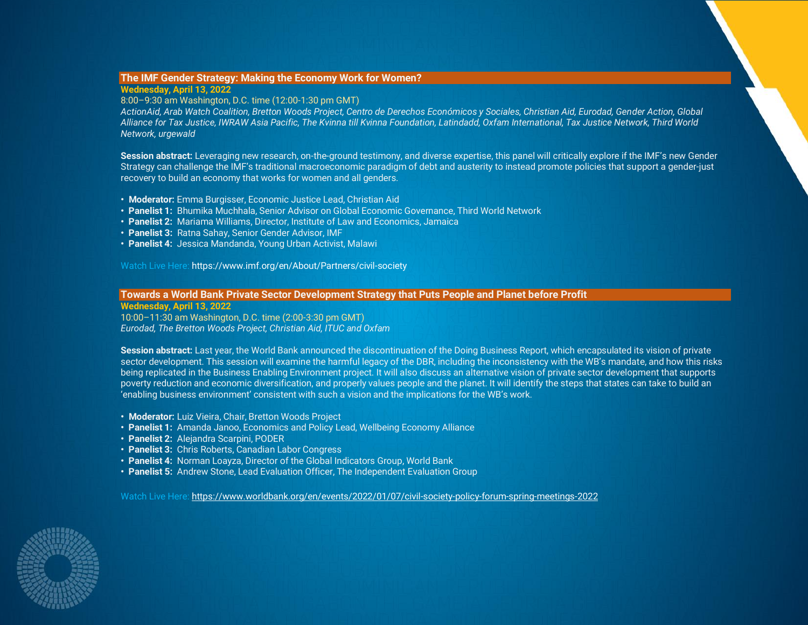# <span id="page-8-0"></span>**The IMF Gender Strategy: Making the Economy Work for Women?**

# **Wednesday, April 13, 2022**

# 8:00–9:30 am Washington, D.C. time (12:00-1:30 pm GMT)

*ActionAid, Arab Watch Coalition, Bretton Woods Project, Centro de Derechos Económicos y Sociales, Christian Aid, Eurodad, Gender Action, Global Alliance for Tax Justice, IWRAW Asia Pacific, The Kvinna till Kvinna Foundation, Latindadd, Oxfam International, Tax Justice Network, Third World Network, urgewald*

**Session abstract:** Leveraging new research, on-the-ground testimony, and diverse expertise, this panel will critically explore if the IMF's new Gender Strategy can challenge the IMF's traditional macroeconomic paradigm of debt and austerity to instead promote policies that support a gender-just recovery to build an economy that works for women and all genders.

- **Moderator:** Emma Burgisser, Economic Justice Lead, Christian Aid
- **Panelist 1:** Bhumika Muchhala, Senior Advisor on Global Economic Governance, Third World Network
- **Panelist 2:** Mariama Williams, Director, Institute of Law and Economics, Jamaica
- **Panelist 3:** Ratna Sahay, Senior Gender Advisor, IMF
- **Panelist 4:** Jessica Mandanda, Young Urban Activist, Malawi

Watch Live Here: https://www.imf.org/en/About/Partners/civil-society

# <span id="page-8-1"></span>**Towards a World Bank Private Sector Development Strategy that Puts People and Planet before Profit**

**Wednesday, April 13, 2022**

10:00–11:30 am Washington, D.C. time (2:00-3:30 pm GMT) *Eurodad, The Bretton Woods Project, Christian Aid, ITUC and Oxfam*

**Session abstract:** Last year, the World Bank announced the discontinuation of the Doing Business Report, which encapsulated its vision of private sector development. This session will examine the harmful legacy of the DBR, including the inconsistency with the WB's mandate, and how this risks being replicated in the Business Enabling Environment project. It will also discuss an alternative vision of private sector development that supports poverty reduction and economic diversification, and properly values people and the planet. It will identify the steps that states can take to build an 'enabling business environment' consistent with such a vision and the implications for the WB's work.

- **Moderator:** Luiz Vieira, Chair, Bretton Woods Project
- **Panelist 1:** Amanda Janoo, Economics and Policy Lead, Wellbeing Economy Alliance
- **Panelist 2:** Alejandra Scarpini, PODER
- **Panelist 3:** Chris Roberts, Canadian Labor Congress
- **Panelist 4:** Norman Loayza, Director of the Global Indicators Group, World Bank
- **Panelist 5:** Andrew Stone, Lead Evaluation Officer, The Independent Evaluation Group

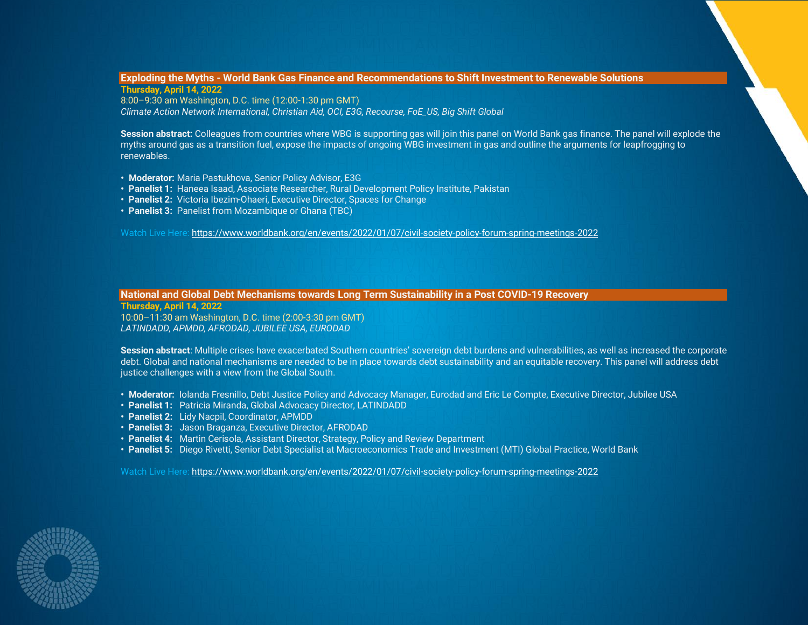#### <span id="page-9-0"></span>**Exploding the Myths - World Bank Gas Finance and Recommendations to Shift Investment to Renewable Solutions Thursday, April 14, 2022**

8:00–9:30 am Washington, D.C. time (12:00-1:30 pm GMT) *Climate Action Network International, Christian Aid, OCI, E3G, Recourse, FoE\_US, Big Shift Global*

**Session abstract:** Colleagues from countries where WBG is supporting gas will join this panel on World Bank gas finance. The panel will explode the myths around gas as a transition fuel, expose the impacts of ongoing WBG investment in gas and outline the arguments for leapfrogging to renewables.

- **Moderator:** Maria Pastukhova, Senior Policy Advisor, E3G
- **Panelist 1:** Haneea Isaad, Associate Researcher, Rural Development Policy Institute, Pakistan
- **Panelist 2:** Victoria Ibezim-Ohaeri, Executive Director, Spaces for Change
- **Panelist 3:** Panelist from Mozambique or Ghana (TBC)

Watch Live Here: <https://www.worldbank.org/en/events/2022/01/07/civil-society-policy-forum-spring-meetings-2022>

# <span id="page-9-1"></span>**National and Global Debt Mechanisms towards Long Term Sustainability in a Post COVID-19 Recovery**

**Thursday, April 14, 2022** 10:00–11:30 am Washington, D.C. time (2:00-3:30 pm GMT) *LATINDADD, APMDD, AFRODAD, JUBILEE USA, EURODAD*

**Session abstract**: Multiple crises have exacerbated Southern countries' sovereign debt burdens and vulnerabilities, as well as increased the corporate debt. Global and national mechanisms are needed to be in place towards debt sustainability and an equitable recovery. This panel will address debt justice challenges with a view from the Global South.

- **Moderator:** Iolanda Fresnillo, Debt Justice Policy and Advocacy Manager, Eurodad and Eric Le Compte, Executive Director, Jubilee USA
- **Panelist 1:** Patricia Miranda, Global Advocacy Director, LATINDADD
- **Panelist 2:** Lidy Nacpil, Coordinator, APMDD
- **Panelist 3:** Jason Braganza, Executive Director, AFRODAD
- **Panelist 4:** Martin Cerisola, Assistant Director, Strategy, Policy and Review Department
- **Panelist 5:** Diego Rivetti, Senior Debt Specialist at Macroeconomics Trade and Investment (MTI) Global Practice, World Bank